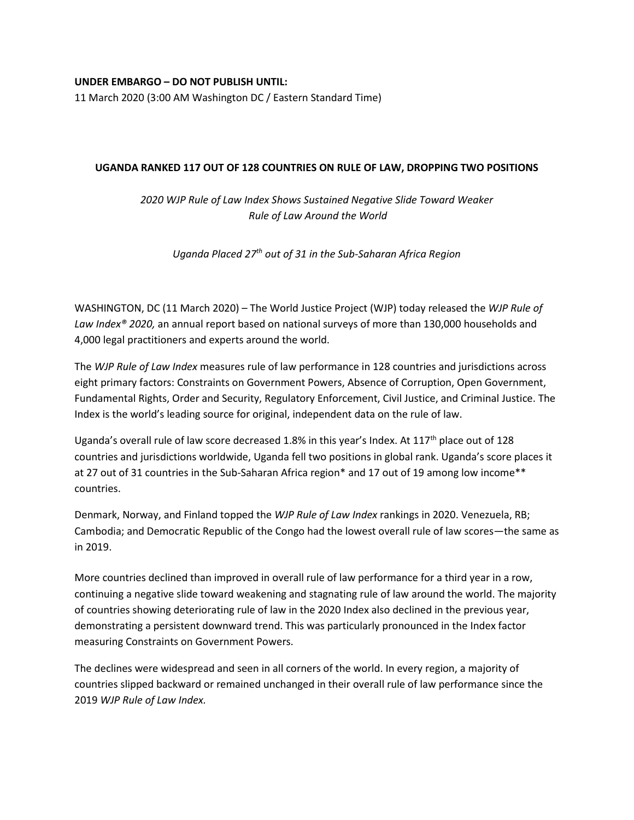## **UNDER EMBARGO – DO NOT PUBLISH UNTIL:**

11 March 2020 (3:00 AM Washington DC / Eastern Standard Time)

## **UGANDA RANKED 117 OUT OF 128 COUNTRIES ON RULE OF LAW, DROPPING TWO POSITIONS**

*2020 WJP Rule of Law Index Shows Sustained Negative Slide Toward Weaker Rule of Law Around the World*

*Uganda Placed 27th out of 31 in the Sub-Saharan Africa Region*

WASHINGTON, DC (11 March 2020) – The World Justice Project (WJP) today released the *WJP Rule of Law Index® 2020,* an annual report based on national surveys of more than 130,000 households and 4,000 legal practitioners and experts around the world.

The *WJP Rule of Law Index* measures rule of law performance in 128 countries and jurisdictions across eight primary factors: Constraints on Government Powers, Absence of Corruption, Open Government, Fundamental Rights, Order and Security, Regulatory Enforcement, Civil Justice, and Criminal Justice. The Index is the world's leading source for original, independent data on the rule of law.

Uganda's overall rule of law score decreased 1.8% in this year's Index. At 117<sup>th</sup> place out of 128 countries and jurisdictions worldwide, Uganda fell two positions in global rank. Uganda's score places it at 27 out of 31 countries in the Sub-Saharan Africa region\* and 17 out of 19 among low income\*\* countries.

Denmark, Norway, and Finland topped the *WJP Rule of Law Index* rankings in 2020. Venezuela, RB; Cambodia; and Democratic Republic of the Congo had the lowest overall rule of law scores—the same as in 2019.

More countries declined than improved in overall rule of law performance for a third year in a row, continuing a negative slide toward weakening and stagnating rule of law around the world. The majority of countries showing deteriorating rule of law in the 2020 Index also declined in the previous year, demonstrating a persistent downward trend. This was particularly pronounced in the Index factor measuring Constraints on Government Powers.

The declines were widespread and seen in all corners of the world. In every region, a majority of countries slipped backward or remained unchanged in their overall rule of law performance since the 2019 *WJP Rule of Law Index.*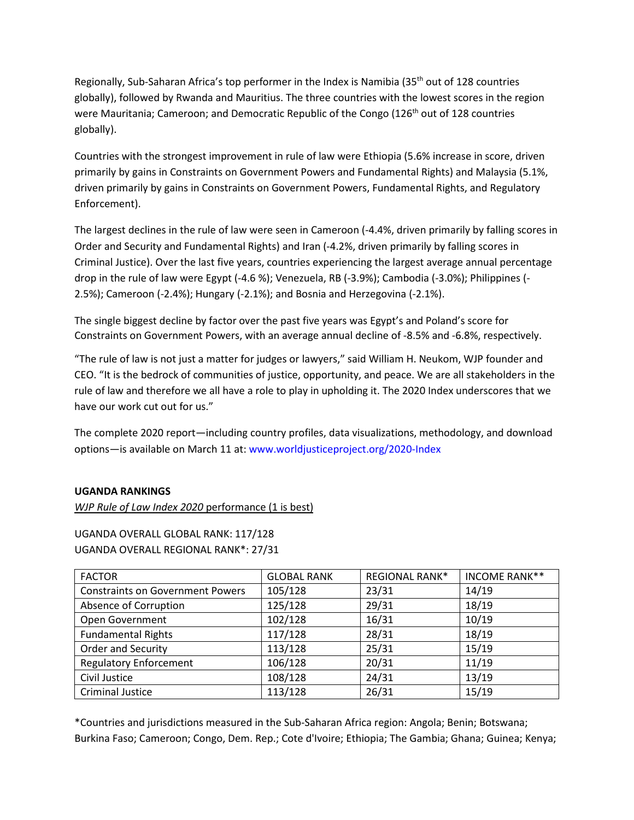Regionally, Sub-Saharan Africa's top performer in the Index is Namibia (35th out of 128 countries globally), followed by Rwanda and Mauritius. The three countries with the lowest scores in the region were Mauritania; Cameroon; and Democratic Republic of the Congo (126<sup>th</sup> out of 128 countries globally).

Countries with the strongest improvement in rule of law were Ethiopia (5.6% increase in score, driven primarily by gains in Constraints on Government Powers and Fundamental Rights) and Malaysia (5.1%, driven primarily by gains in Constraints on Government Powers, Fundamental Rights, and Regulatory Enforcement).

The largest declines in the rule of law were seen in Cameroon (-4.4%, driven primarily by falling scores in Order and Security and Fundamental Rights) and Iran (-4.2%, driven primarily by falling scores in Criminal Justice). Over the last five years, countries experiencing the largest average annual percentage drop in the rule of law were Egypt (-4.6 %); Venezuela, RB (-3.9%); Cambodia (-3.0%); Philippines (- 2.5%); Cameroon (-2.4%); Hungary (-2.1%); and Bosnia and Herzegovina (-2.1%).

The single biggest decline by factor over the past five years was Egypt's and Poland's score for Constraints on Government Powers, with an average annual decline of -8.5% and -6.8%, respectively.

"The rule of law is not just a matter for judges or lawyers," said William H. Neukom, WJP founder and CEO. "It is the bedrock of communities of justice, opportunity, and peace. We are all stakeholders in the rule of law and therefore we all have a role to play in upholding it. The 2020 Index underscores that we have our work cut out for us."

The complete 2020 report—including country profiles, data visualizations, methodology, and download options—is available on March 11 at: www.worldjusticeproject.org/2020-Index

# **UGANDA RANKINGS**

*WJP Rule of Law Index 2020* performance (1 is best)

UGANDA OVERALL GLOBAL RANK: 117/128 UGANDA OVERALL REGIONAL RANK\*: 27/31

| <b>FACTOR</b>                           | <b>GLOBAL RANK</b> | <b>REGIONAL RANK*</b> | <b>INCOME RANK**</b> |
|-----------------------------------------|--------------------|-----------------------|----------------------|
| <b>Constraints on Government Powers</b> | 105/128            | 23/31                 | 14/19                |
| Absence of Corruption                   | 125/128            | 29/31                 | 18/19                |
| Open Government                         | 102/128            | 16/31                 | 10/19                |
| <b>Fundamental Rights</b>               | 117/128            | 28/31                 | 18/19                |
| Order and Security                      | 113/128            | 25/31                 | 15/19                |
| <b>Regulatory Enforcement</b>           | 106/128            | 20/31                 | 11/19                |
| Civil Justice                           | 108/128            | 24/31                 | 13/19                |
| <b>Criminal Justice</b>                 | 113/128            | 26/31                 | 15/19                |

\*Countries and jurisdictions measured in the Sub-Saharan Africa region: Angola; Benin; Botswana; Burkina Faso; Cameroon; Congo, Dem. Rep.; Cote d'Ivoire; Ethiopia; The Gambia; Ghana; Guinea; Kenya;